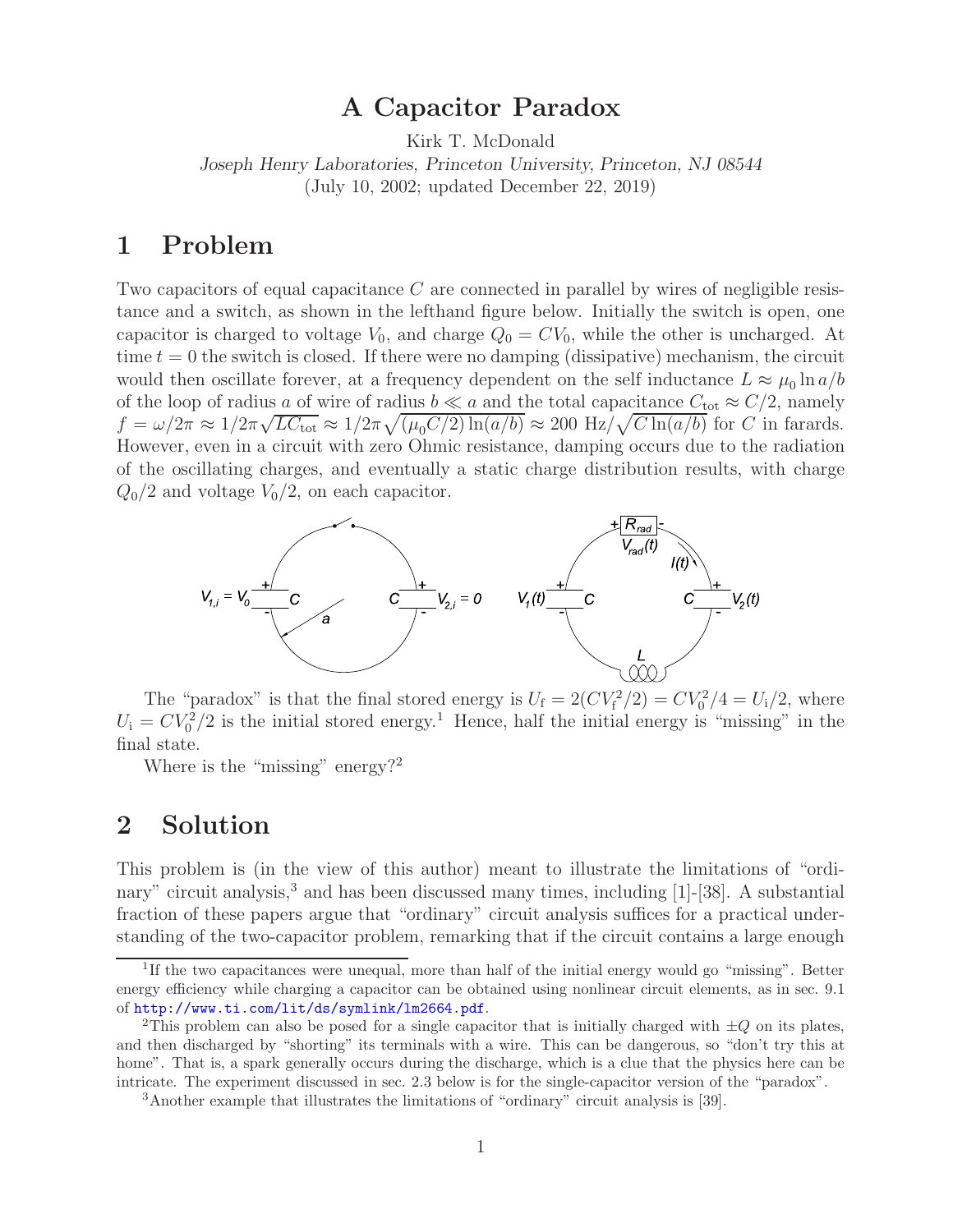# **A Capacitor Paradox**

Kirk T. McDonald

*Joseph Henry Laboratories, Princeton University, Princeton, NJ 08544* (July 10, 2002; updated December 22, 2019)

### **1 Problem**

Two capacitors of equal capacitance C are connected in parallel by wires of negligible resistance and a switch, as shown in the lefthand figure below. Initially the switch is open, one capacitor is charged to voltage  $V_0$ , and charge  $Q_0 = CV_0$ , while the other is uncharged. At time  $t = 0$  the switch is closed. If there were no damping (dissipative) mechanism, the circuit would then oscillate forever, at a frequency dependent on the self inductance  $L \approx \mu_0 \ln a/b$ of the loop of radius a of wire of radius  $b \ll a$  and the total capacitance  $C_{\text{tot}} \approx C/2$ , namely  $f = \omega/2\pi \approx 1/2\pi\sqrt{LC_{\text{tot}}} \approx 1/2\pi\sqrt{(\mu_0 C/2)\ln(a/b)} \approx 200 \text{ Hz}/\sqrt{C\ln(a/b)}$  for C in farards. However, even in a circuit with zero Ohmic resistance, damping occurs due to the radiation of the oscillating charges, and eventually a static charge distribution results, with charge  $Q_0/2$  and voltage  $V_0/2$ , on each capacitor.



The "paradox" is that the final stored energy is  $U_f = 2(CV_f^2/2) = CV_0^2/4 = U_i/2$ , where  $U_i = CV_0^2/2$  is the initial stored energy.<sup>1</sup> Hence, half the initial energy is "missing" in the final state.

Where is the "missing" energy?<sup>2</sup>

## **2 Solution**

This problem is (in the view of this author) meant to illustrate the limitations of "ordinary" circuit analysis, $3$  and has been discussed many times, including [1]-[38]. A substantial fraction of these papers argue that "ordinary" circuit analysis suffices for a practical understanding of the two-capacitor problem, remarking that if the circuit contains a large enough

<sup>1</sup>If the two capacitances were unequal, more than half of the initial energy would go "missing". Better energy efficiency while charging a capacitor can be obtained using nonlinear circuit elements, as in sec. 9.1 of http://www.ti.com/lit/ds/symlink/lm2664.pdf.

<sup>&</sup>lt;sup>2</sup>This problem can also be posed for a single capacitor that is initially charged with  $\pm Q$  on its plates, and then discharged by "shorting" its terminals with a wire. This can be dangerous, so "don't try this at home". That is, a spark generally occurs during the discharge, which is a clue that the physics here can be intricate. The experiment discussed in sec. 2.3 below is for the single-capacitor version of the "paradox".

<sup>3</sup>Another example that illustrates the limitations of "ordinary" circuit analysis is [39].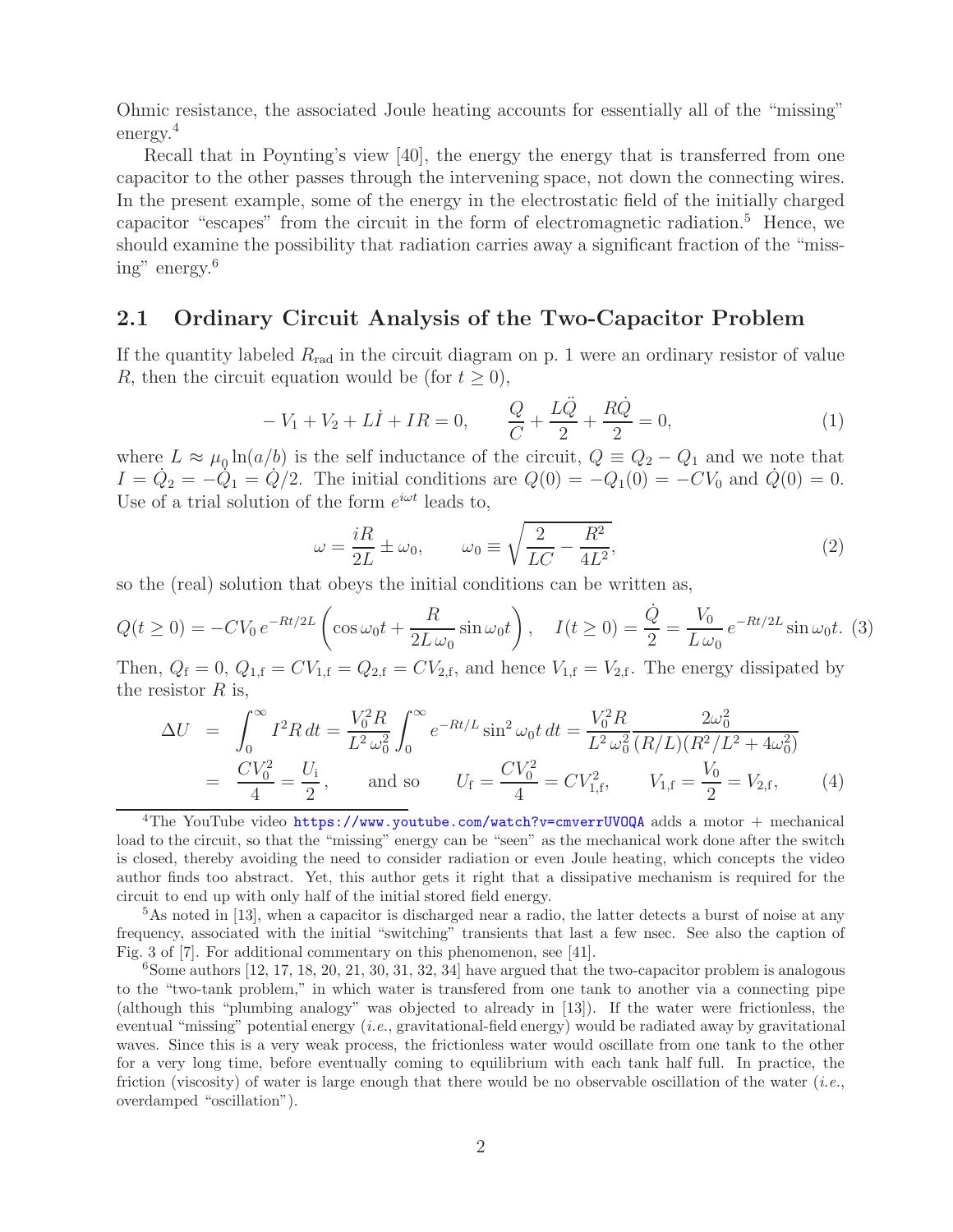Ohmic resistance, the associated Joule heating accounts for essentially all of the "missing" energy.<sup>4</sup>

Recall that in Poynting's view [40], the energy the energy that is transferred from one capacitor to the other passes through the intervening space, not down the connecting wires. In the present example, some of the energy in the electrostatic field of the initially charged capacitor "escapes" from the circuit in the form of electromagnetic radiation.<sup>5</sup> Hence, we should examine the possibility that radiation carries away a significant fraction of the "missing" energy.<sup>6</sup>

### **2.1 Ordinary Circuit Analysis of the Two-Capacitor Problem**

If the quantity labeled  $R_{rad}$  in the circuit diagram on p. 1 were an ordinary resistor of value R, then the circuit equation would be (for  $t \geq 0$ ),

$$
-V_1 + V_2 + L\dot{I} + IR = 0, \qquad \frac{Q}{C} + \frac{L\ddot{Q}}{2} + \frac{R\dot{Q}}{2} = 0,
$$
\n(1)

where  $L \approx \mu_0 \ln(a/b)$  is the self inductance of the circuit,  $Q \equiv Q_2 - Q_1$  and we note that  $I = \dot{Q}_2 = -\dot{Q}_1 = \dot{Q}/2$ . The initial conditions are  $Q(0) = -Q_1(0) = -CV_0$  and  $\dot{Q}(0) = 0$ . Use of a trial solution of the form  $e^{i\omega t}$  leads to,

$$
\omega = \frac{iR}{2L} \pm \omega_0, \qquad \omega_0 \equiv \sqrt{\frac{2}{LC} - \frac{R^2}{4L^2}}, \tag{2}
$$

so the (real) solution that obeys the initial conditions can be written as,

$$
Q(t \ge 0) = -CV_0 e^{-Rt/2L} \left( \cos \omega_0 t + \frac{R}{2L \omega_0} \sin \omega_0 t \right), \quad I(t \ge 0) = \frac{\dot{Q}}{2} = \frac{V_0}{L \omega_0} e^{-Rt/2L} \sin \omega_0 t. \tag{3}
$$

Then,  $Q_f = 0$ ,  $Q_{1,f} = CV_{1,f} = Q_{2,f} = CV_{2,f}$ , and hence  $V_{1,f} = V_{2,f}$ . The energy dissipated by the resistor  $R$  is,

$$
\Delta U = \int_0^\infty I^2 R dt = \frac{V_0^2 R}{L^2 \omega_0^2} \int_0^\infty e^{-Rt/L} \sin^2 \omega_0 t dt = \frac{V_0^2 R}{L^2 \omega_0^2} \frac{2\omega_0^2}{(R/L)(R^2/L^2 + 4\omega_0^2)}
$$
  
=  $\frac{CV_0^2}{4} = \frac{U_1}{2}$ , and so  $U_f = \frac{CV_0^2}{4} = CV_{1,f}^2$ ,  $V_{1,f} = \frac{V_0}{2} = V_{2,f}$ , (4)

<sup>&</sup>lt;sup>4</sup>The YouTube video https://www.youtube.com/watch?v=cmverrUVOQA adds a motor + mechanical load to the circuit, so that the "missing" energy can be "seen" as the mechanical work done after the switch is closed, thereby avoiding the need to consider radiation or even Joule heating, which concepts the video author finds too abstract. Yet, this author gets it right that a dissipative mechanism is required for the circuit to end up with only half of the initial stored field energy.

<sup>&</sup>lt;sup>5</sup>As noted in [13], when a capacitor is discharged near a radio, the latter detects a burst of noise at any frequency, associated with the initial "switching" transients that last a few nsec. See also the caption of Fig. 3 of [7]. For additional commentary on this phenomenon, see [41].

 $6$ Some authors  $[12, 17, 18, 20, 21, 30, 31, 32, 34]$  have argued that the two-capacitor problem is analogous to the "two-tank problem," in which water is transfered from one tank to another via a connecting pipe (although this "plumbing analogy" was objected to already in [13]). If the water were frictionless, the eventual "missing" potential energy (*i.e.*, gravitational-field energy) would be radiated away by gravitational waves. Since this is a very weak process, the frictionless water would oscillate from one tank to the other for a very long time, before eventually coming to equilibrium with each tank half full. In practice, the friction (viscosity) of water is large enough that there would be no observable oscillation of the water (*i.e.*, overdamped "oscillation").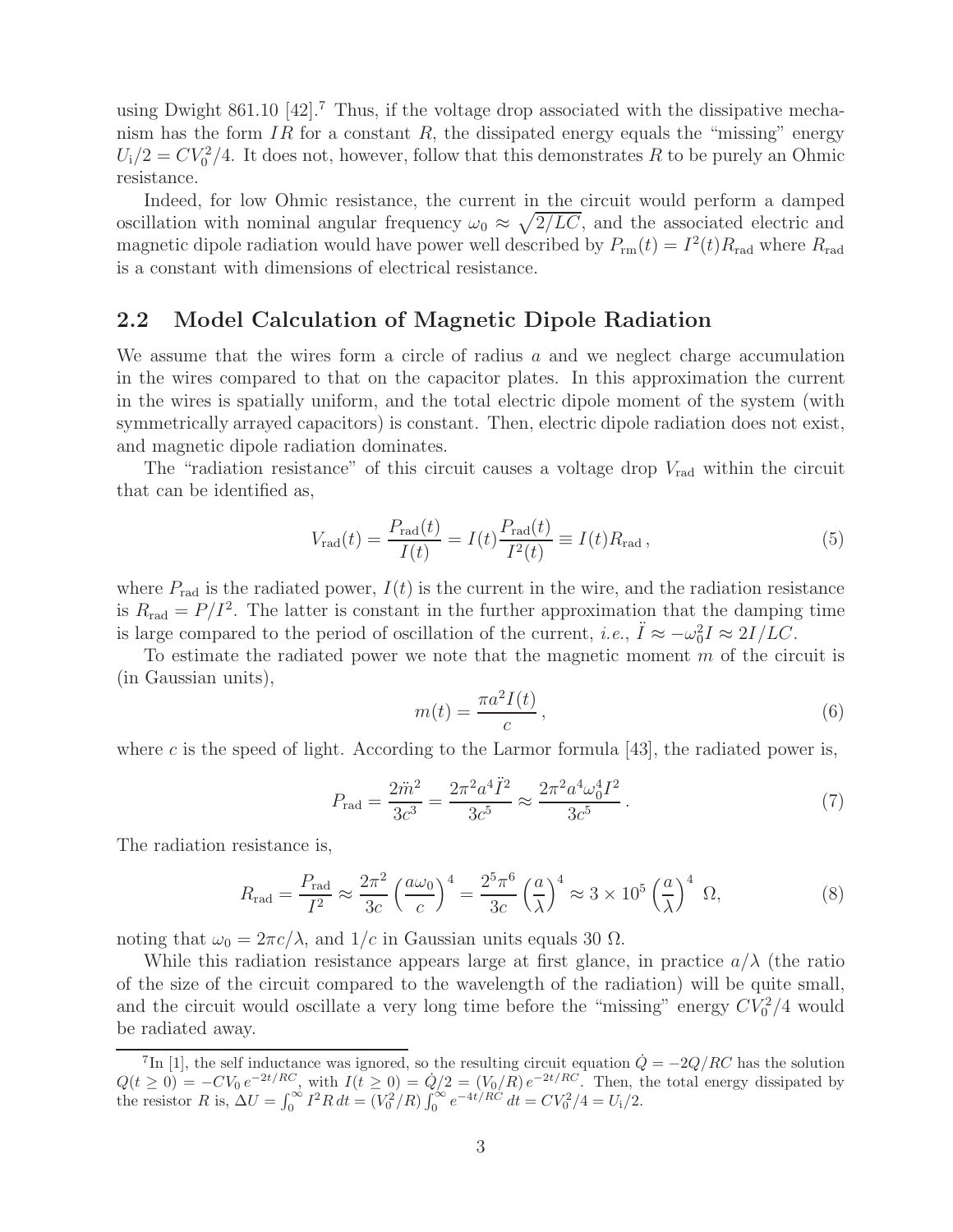using Dwight 861.10  $[42]$ .<sup>7</sup> Thus, if the voltage drop associated with the dissipative mechanism has the form IR for a constant R, the dissipated energy equals the "missing" energy  $U_1/2 = CV_0^2/4$ . It does not, however, follow that this demonstrates R to be purely an Ohmic resistance.

Indeed, for low Ohmic resistance, the current in the circuit would perform a damped oscillation with nominal angular frequency  $\omega_0 \approx \sqrt{2/LC}$ , and the associated electric and magnetic dipole radiation would have power well described by  $P_{rmrm rm}(t) = I^2(t)R_{\rm rad}$  where  $R_{\rm rad}$ is a constant with dimensions of electrical resistance.

#### **2.2 Model Calculation of Magnetic Dipole Radiation**

We assume that the wires form a circle of radius  $a$  and we neglect charge accumulation in the wires compared to that on the capacitor plates. In this approximation the current in the wires is spatially uniform, and the total electric dipole moment of the system (with symmetrically arrayed capacitors) is constant. Then, electric dipole radiation does not exist, and magnetic dipole radiation dominates.

The "radiation resistance" of this circuit causes a voltage drop  $V_{rad}$  within the circuit that can be identified as,

$$
V_{\rm rad}(t) = \frac{P_{\rm rad}(t)}{I(t)} = I(t) \frac{P_{\rm rad}(t)}{I^2(t)} \equiv I(t) R_{\rm rad},
$$
\n(5)

where  $P_{\text{rad}}$  is the radiated power,  $I(t)$  is the current in the wire, and the radiation resistance is  $R_{\text{rad}} = P/I^2$ . The latter is constant in the further approximation that the damping time is large compared to the period of oscillation of the current, *i.e.*,  $\ddot{I} \approx -\omega_0^2 I \approx 2I/LC$ .

To estimate the radiated power we note that the magnetic moment  $m$  of the circuit is (in Gaussian units),

$$
m(t) = \frac{\pi a^2 I(t)}{c},\tag{6}
$$

where c is the speed of light. According to the Larmor formula  $[43]$ , the radiated power is,

$$
P_{\rm rad} = \frac{2\ddot{m}^2}{3c^3} = \frac{2\pi^2 a^4 \ddot{I}^2}{3c^5} \approx \frac{2\pi^2 a^4 \omega_0^4 I^2}{3c^5} \,. \tag{7}
$$

The radiation resistance is,

$$
R_{\rm rad} = \frac{P_{\rm rad}}{I^2} \approx \frac{2\pi^2}{3c} \left(\frac{a\omega_0}{c}\right)^4 = \frac{2^5\pi^6}{3c} \left(\frac{a}{\lambda}\right)^4 \approx 3 \times 10^5 \left(\frac{a}{\lambda}\right)^4 \Omega,
$$
 (8)

noting that  $\omega_0 = 2\pi c/\lambda$ , and  $1/c$  in Gaussian units equals 30  $\Omega$ .

While this radiation resistance appears large at first glance, in practice  $a/\lambda$  (the ratio of the size of the circuit compared to the wavelength of the radiation) will be quite small, and the circuit would oscillate a very long time before the "missing" energy  $CV_0^2/4$  would be radiated away.

<sup>&</sup>lt;sup>7</sup>In [1], the self inductance was ignored, so the resulting circuit equation  $\dot{Q} = -2Q/RC$  has the solution  $Q(t \ge 0) = -CV_0 e^{-2t/RC}$ , with  $I(t \ge 0) = \dot{Q}/2 = (V_0/R) e^{-2t/RC}$ . Then, the total energy dissipated by the resistor R is,  $\Delta U = \int_0^\infty I^2 R dt = (V_0^2/R) \int_0^\infty e^{-4t/RC} dt = CV_0^2/4 = U_1/2$ .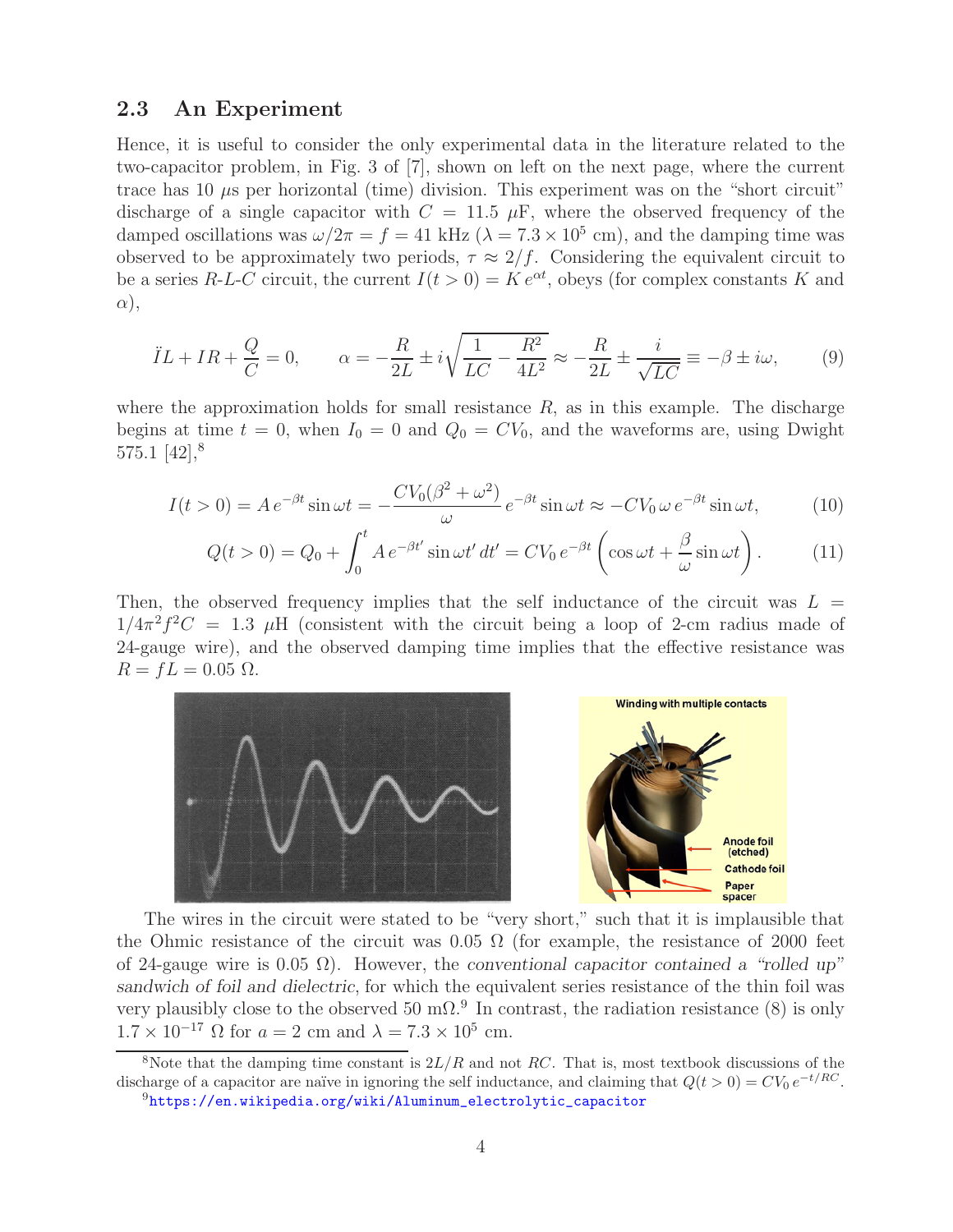#### **2.3 An Experiment**

Hence, it is useful to consider the only experimental data in the literature related to the two-capacitor problem, in Fig. 3 of [7], shown on left on the next page, where the current trace has 10  $\mu$ s per horizontal (time) division. This experiment was on the "short circuit" discharge of a single capacitor with  $C = 11.5 \mu$ F, where the observed frequency of the damped oscillations was  $\omega/2\pi = f = 41$  kHz ( $\lambda = 7.3 \times 10^5$  cm), and the damping time was observed to be approximately two periods,  $\tau \approx 2/f$ . Considering the equivalent circuit to be a series R-L-C circuit, the current  $I(t > 0) = K e^{\alpha t}$ , obeys (for complex constants K and α),

$$
\ddot{I}L + IR + \frac{Q}{C} = 0, \qquad \alpha = -\frac{R}{2L} \pm i\sqrt{\frac{1}{LC} - \frac{R^2}{4L^2}} \approx -\frac{R}{2L} \pm \frac{i}{\sqrt{LC}} \equiv -\beta \pm i\omega, \tag{9}
$$

where the approximation holds for small resistance  $R$ , as in this example. The discharge begins at time  $t = 0$ , when  $I_0 = 0$  and  $Q_0 = CV_0$ , and the waveforms are, using Dwight 575.1  $[42]$ <sup>8</sup>

$$
I(t>0) = Ae^{-\beta t} \sin \omega t = -\frac{CV_0(\beta^2 + \omega^2)}{\omega} e^{-\beta t} \sin \omega t \approx -CV_0 \omega e^{-\beta t} \sin \omega t, \tag{10}
$$

$$
Q(t>0) = Q_0 + \int_0^t A e^{-\beta t'} \sin \omega t' dt' = CV_0 e^{-\beta t} \left( \cos \omega t + \frac{\beta}{\omega} \sin \omega t \right).
$$
 (11)

Then, the observed frequency implies that the self inductance of the circuit was  $L =$  $1/4\pi^2 f^2 C = 1.3$  µH (consistent with the circuit being a loop of 2-cm radius made of 24-gauge wire), and the observed damping time implies that the effective resistance was  $R = fL = 0.05 \Omega$ .



The wires in the circuit were stated to be "very short," such that it is implausible that the Ohmic resistance of the circuit was 0.05  $\Omega$  (for example, the resistance of 2000 feet of 24-gauge wire is 0.05 Ω). However, the *conventional capacitor contained a "rolled up" sandwich of foil and dielectric*, for which the equivalent series resistance of the thin foil was very plausibly close to the observed 50 m $\Omega$ .<sup>9</sup> In contrast, the radiation resistance (8) is only  $1.7 \times 10^{-17}$  Ω for  $a = 2$  cm and  $\lambda = 7.3 \times 10^5$  cm.

<sup>&</sup>lt;sup>8</sup>Note that the damping time constant is  $2L/R$  and not RC. That is, most textbook discussions of the discharge of a capacitor are naïve in ignoring the self inductance, and claiming that  $Q(t > 0) = CV_0 e^{-t/RC}$ .<br><sup>9</sup>https://en.wikipedia.org/wiki/Aluminum\_electrolytic\_capacitor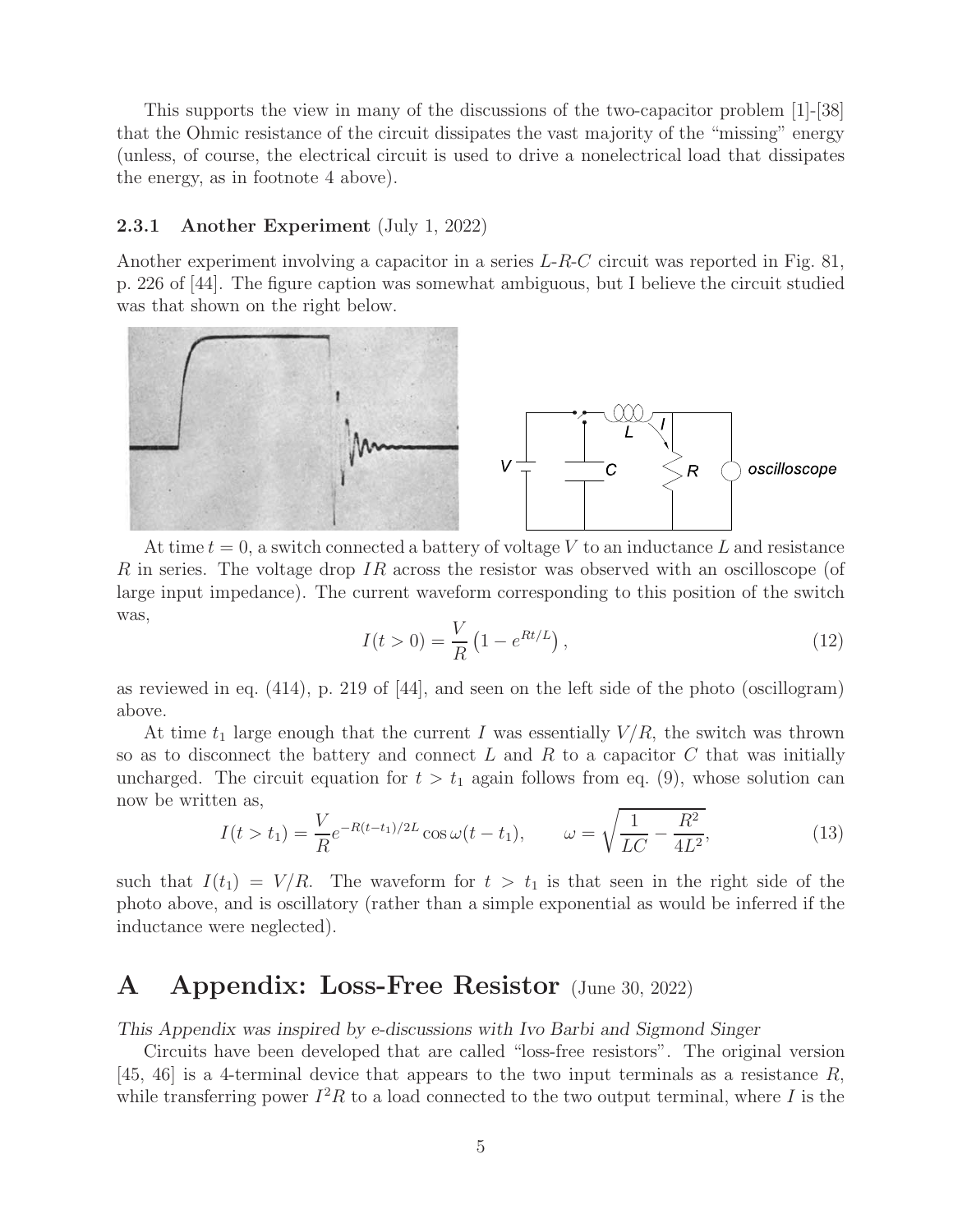This supports the view in many of the discussions of the two-capacitor problem [1]-[38] that the Ohmic resistance of the circuit dissipates the vast majority of the "missing" energy (unless, of course, the electrical circuit is used to drive a nonelectrical load that dissipates the energy, as in footnote 4 above).

#### **2.3.1 Another Experiment** (July 1, 2022)

Another experiment involving a capacitor in a series L-R-C circuit was reported in Fig. 81, p. 226 of [44]. The figure caption was somewhat ambiguous, but I believe the circuit studied was that shown on the right below.



At time  $t = 0$ , a switch connected a battery of voltage V to an inductance L and resistance R in series. The voltage drop IR across the resistor was observed with an oscilloscope (of large input impedance). The current waveform corresponding to this position of the switch was,

$$
I(t > 0) = \frac{V}{R} \left( 1 - e^{Rt/L} \right),\tag{12}
$$

as reviewed in eq.  $(414)$ , p. 219 of  $|44|$ , and seen on the left side of the photo (oscillogram) above.

At time  $t_1$  large enough that the current I was essentially  $V/R$ , the switch was thrown so as to disconnect the battery and connect  $L$  and  $R$  to a capacitor  $C$  that was initially uncharged. The circuit equation for  $t>t_1$  again follows from eq. (9), whose solution can now be written as,

$$
I(t > t_1) = \frac{V}{R}e^{-R(t - t_1)/2L}\cos\omega(t - t_1), \qquad \omega = \sqrt{\frac{1}{LC} - \frac{R^2}{4L^2}},
$$
(13)

such that  $I(t_1) = V/R$ . The waveform for  $t > t_1$  is that seen in the right side of the photo above, and is oscillatory (rather than a simple exponential as would be inferred if the inductance were neglected).

### **A Appendix: Loss-Free Resistor** (June 30, 2022)

*This Appendix was inspired by e-discussions with Ivo Barbi and Sigmond Singer*

Circuits have been developed that are called "loss-free resistors". The original version [45, 46] is a 4-terminal device that appears to the two input terminals as a resistance  $R$ , while transferring power  $I^2R$  to a load connected to the two output terminal, where I is the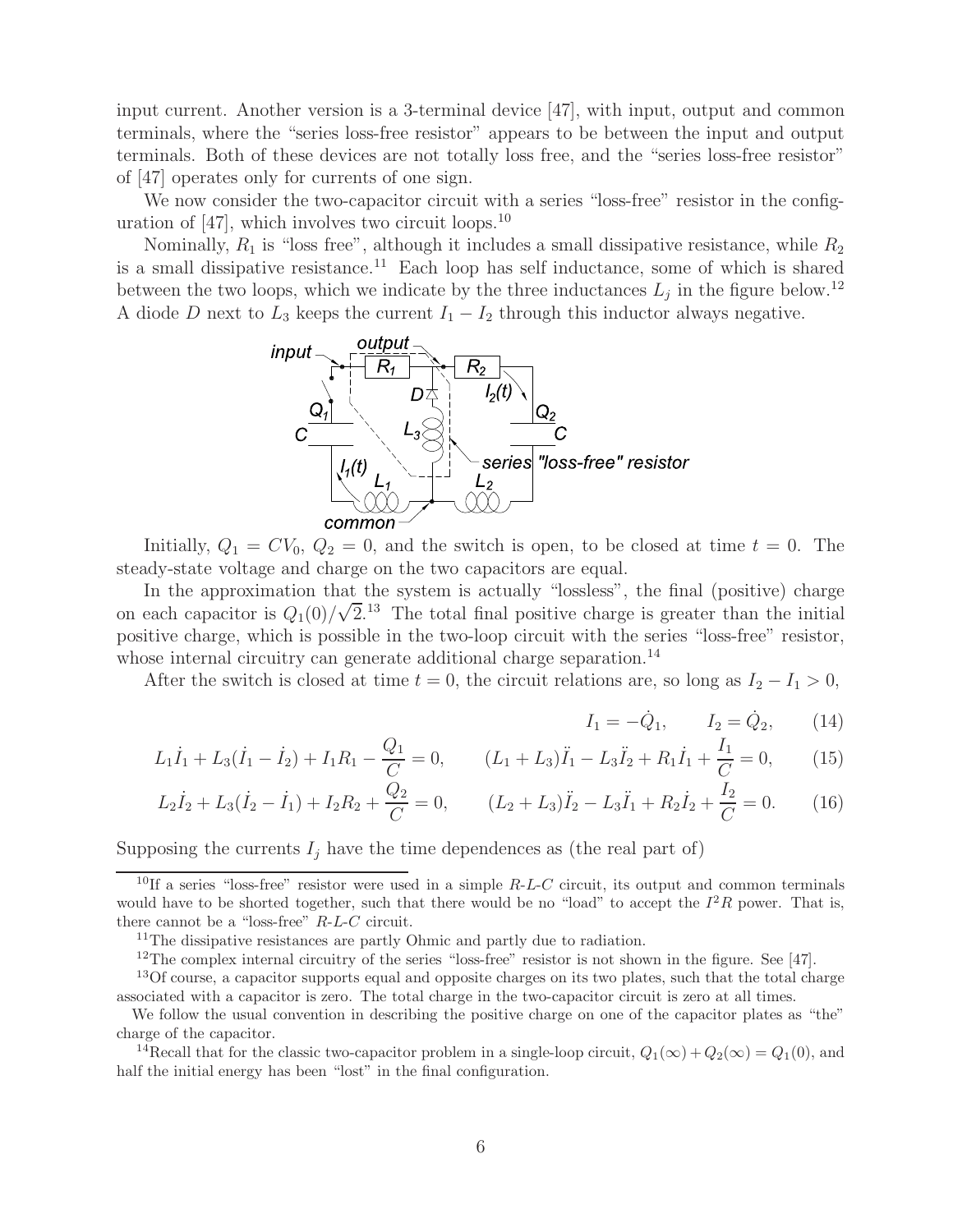input current. Another version is a 3-terminal device [47], with input, output and common terminals, where the "series loss-free resistor" appears to be between the input and output terminals. Both of these devices are not totally loss free, and the "series loss-free resistor" of [47] operates only for currents of one sign.

We now consider the two-capacitor circuit with a series "loss-free" resistor in the configuration of  $[47]$ , which involves two circuit loops.<sup>10</sup>

Nominally,  $R_1$  is "loss free", although it includes a small dissipative resistance, while  $R_2$ is a small dissipative resistance.<sup>11</sup> Each loop has self inductance, some of which is shared between the two loops, which we indicate by the three inductances  $L_i$  in the figure below.<sup>12</sup> A diode D next to  $L_3$  keeps the current  $I_1 - I_2$  through this inductor always negative.



Initially,  $Q_1 = CV_0$ ,  $Q_2 = 0$ , and the switch is open, to be closed at time  $t = 0$ . The steady-state voltage and charge on the two capacitors are equal.

In the approximation that the system is actually "lossless", the final (positive) charge on each capacitor is  $Q_1(0)/\sqrt{2}$ .<sup>13</sup> The total final positive charge is greater than the initial positive charge, which is possible in the two-loop circuit with the series "loss-free" resistor, whose internal circuitry can generate additional charge separation.<sup>14</sup>

After the switch is closed at time  $t = 0$ , the circuit relations are, so long as  $I_2 - I_1 > 0$ ,

$$
I_1 = -\dot{Q}_1, \qquad I_2 = \dot{Q}_2, \qquad (14)
$$

$$
L_1\dot{I}_1 + L_3(\dot{I}_1 - \dot{I}_2) + I_1R_1 - \frac{Q_1}{C} = 0, \qquad (L_1 + L_3)\ddot{I}_1 - L_3\ddot{I}_2 + R_1\dot{I}_1 + \frac{I_1}{C} = 0,\tag{15}
$$

$$
L_2\dot{I}_2 + L_3(\dot{I}_2 - \dot{I}_1) + I_2R_2 + \frac{Q_2}{C} = 0, \qquad (L_2 + L_3)\ddot{I}_2 - L_3\ddot{I}_1 + R_2\dot{I}_2 + \frac{I_2}{C} = 0. \tag{16}
$$

Supposing the currents  $I_j$  have the time dependences as (the real part of)

<sup>&</sup>lt;sup>10</sup>If a series "loss-free" resistor were used in a simple  $R-L-C$  circuit, its output and common terminals would have to be shorted together, such that there would be no "load" to accept the  $I^2R$  power. That is, there cannot be a "loss-free"  $R$ - $L$ - $C$  circuit.

<sup>&</sup>lt;sup>11</sup>The dissipative resistances are partly Ohmic and partly due to radiation.

<sup>&</sup>lt;sup>12</sup>The complex internal circuitry of the series "loss-free" resistor is not shown in the figure. See [47].

<sup>&</sup>lt;sup>13</sup>Of course, a capacitor supports equal and opposite charges on its two plates, such that the total charge associated with a capacitor is zero. The total charge in the two-capacitor circuit is zero at all times.

We follow the usual convention in describing the positive charge on one of the capacitor plates as "the" charge of the capacitor.

<sup>&</sup>lt;sup>14</sup>Recall that for the classic two-capacitor problem in a single-loop circuit,  $Q_1(\infty) + Q_2(\infty) = Q_1(0)$ , and half the initial energy has been "lost" in the final configuration.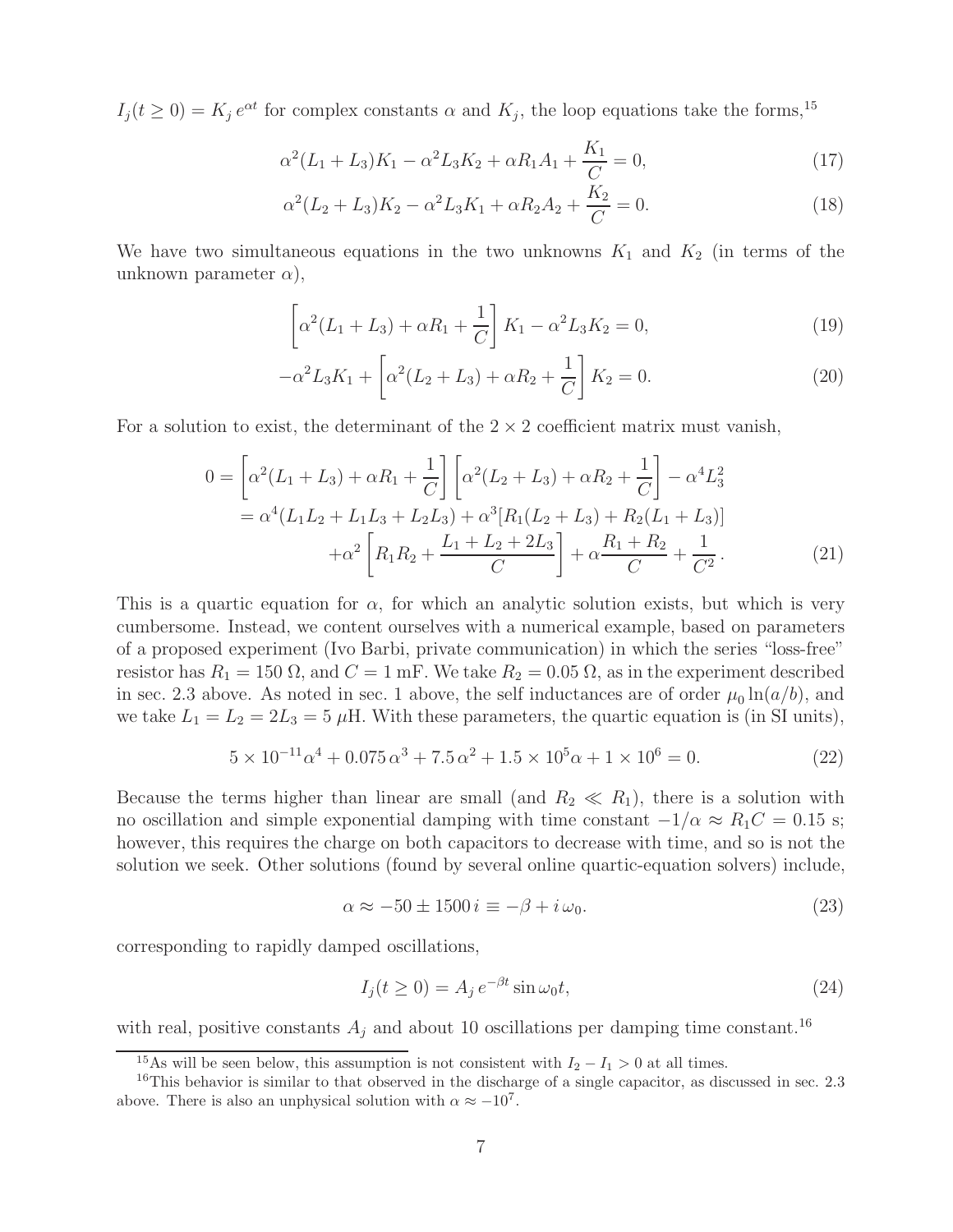$I_i(t \geq 0) = K_i e^{\alpha t}$  for complex constants  $\alpha$  and  $K_i$ , the loop equations take the forms,<sup>15</sup>

$$
\alpha^2 (L_1 + L_3) K_1 - \alpha^2 L_3 K_2 + \alpha R_1 A_1 + \frac{K_1}{C} = 0, \qquad (17)
$$

$$
\alpha^{2}(L_{2}+L_{3})K_{2}-\alpha^{2}L_{3}K_{1}+\alpha R_{2}A_{2}+\frac{K_{2}}{C}=0.
$$
\n(18)

We have two simultaneous equations in the two unknowns  $K_1$  and  $K_2$  (in terms of the unknown parameter  $\alpha$ ),

$$
\left[\alpha^2(L_1 + L_3) + \alpha R_1 + \frac{1}{C}\right] K_1 - \alpha^2 L_3 K_2 = 0,
$$
\n(19)

$$
-\alpha^2 L_3 K_1 + \left[\alpha^2 (L_2 + L_3) + \alpha R_2 + \frac{1}{C}\right] K_2 = 0.
$$
 (20)

For a solution to exist, the determinant of the  $2 \times 2$  coefficient matrix must vanish,

$$
0 = \left[\alpha^2(L_1 + L_3) + \alpha R_1 + \frac{1}{C}\right] \left[\alpha^2(L_2 + L_3) + \alpha R_2 + \frac{1}{C}\right] - \alpha^4 L_3^2
$$
  
=  $\alpha^4(L_1L_2 + L_1L_3 + L_2L_3) + \alpha^3 [R_1(L_2 + L_3) + R_2(L_1 + L_3)]$   
+  $\alpha^2 \left[R_1R_2 + \frac{L_1 + L_2 + 2L_3}{C}\right] + \alpha \frac{R_1 + R_2}{C} + \frac{1}{C^2}.$  (21)

This is a quartic equation for  $\alpha$ , for which an analytic solution exists, but which is very cumbersome. Instead, we content ourselves with a numerical example, based on parameters of a proposed experiment (Ivo Barbi, private communication) in which the series "loss-free" resistor has  $R_1 = 150 \Omega$ , and  $C = 1 \text{ mF}$ . We take  $R_2 = 0.05 \Omega$ , as in the experiment described in sec. 2.3 above. As noted in sec. 1 above, the self inductances are of order  $\mu_0 \ln(a/b)$ , and we take  $L_1 = L_2 = 2L_3 = 5$  µH. With these parameters, the quartic equation is (in SI units),

$$
5 \times 10^{-11} \alpha^4 + 0.075 \alpha^3 + 7.5 \alpha^2 + 1.5 \times 10^5 \alpha + 1 \times 10^6 = 0.
$$
 (22)

Because the terms higher than linear are small (and  $R_2 \ll R_1$ ), there is a solution with no oscillation and simple exponential damping with time constant  $-1/\alpha \approx R_1C = 0.15$  s; however, this requires the charge on both capacitors to decrease with time, and so is not the solution we seek. Other solutions (found by several online quartic-equation solvers) include,

$$
\alpha \approx -50 \pm 1500 \, i \equiv -\beta + i \, \omega_0. \tag{23}
$$

corresponding to rapidly damped oscillations,

$$
I_j(t \ge 0) = A_j e^{-\beta t} \sin \omega_0 t,
$$
\n(24)

with real, positive constants  $A_j$  and about 10 oscillations per damping time constant.<sup>16</sup>

<sup>&</sup>lt;sup>15</sup>As will be seen below, this assumption is not consistent with  $I_2 - I_1 > 0$  at all times.

<sup>&</sup>lt;sup>16</sup>This behavior is similar to that observed in the discharge of a single capacitor, as discussed in sec. 2.3 above. There is also an unphysical solution with  $\alpha \approx -10^7$ .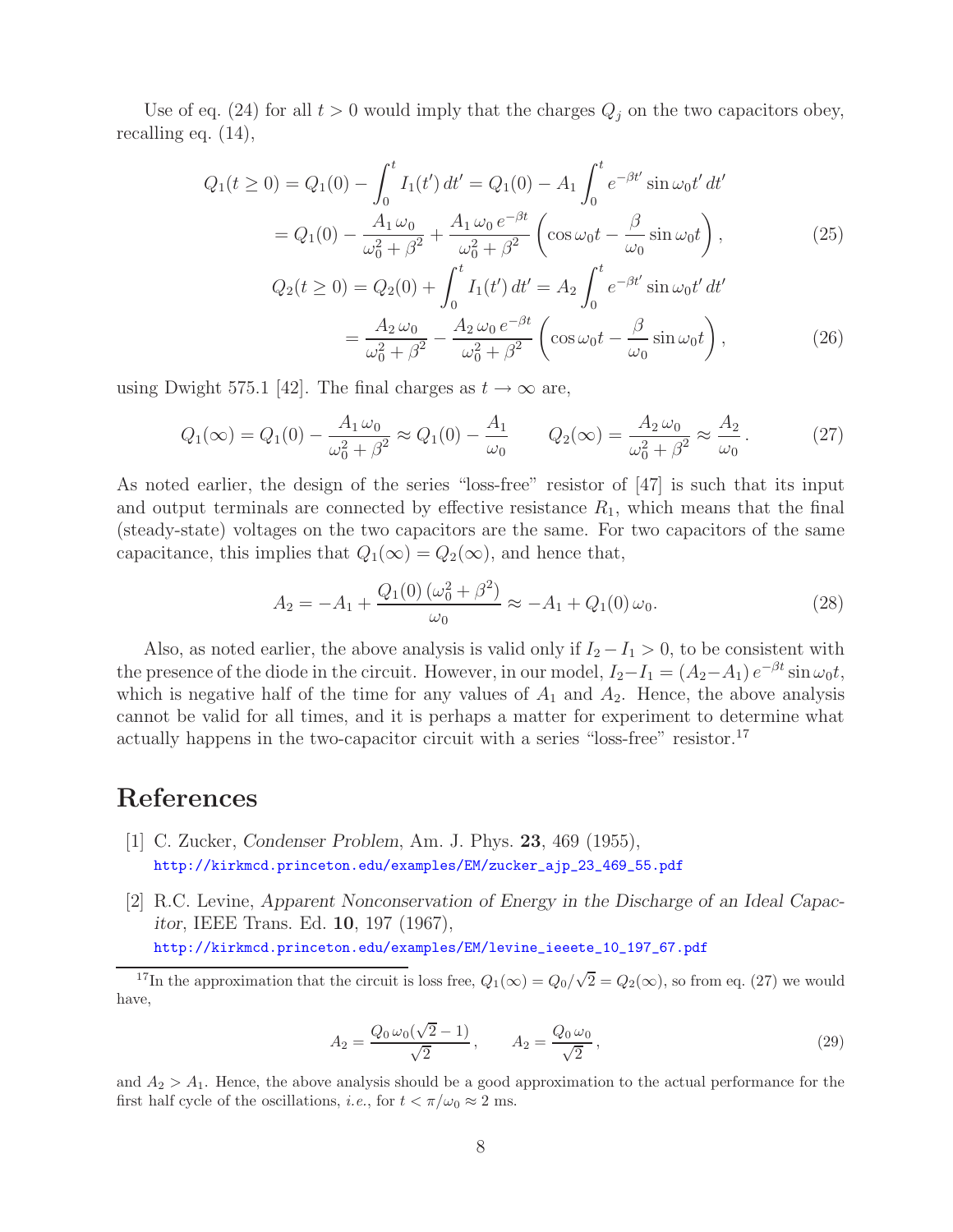Use of eq. (24) for all  $t > 0$  would imply that the charges  $Q_j$  on the two capacitors obey, recalling eq. (14),

$$
Q_1(t \ge 0) = Q_1(0) - \int_0^t I_1(t') dt' = Q_1(0) - A_1 \int_0^t e^{-\beta t'} \sin \omega_0 t' dt'
$$
  
=  $Q_1(0) - \frac{A_1 \omega_0}{\omega_0^2 + \beta^2} + \frac{A_1 \omega_0 e^{-\beta t}}{\omega_0^2 + \beta^2} \left( \cos \omega_0 t - \frac{\beta}{\omega_0} \sin \omega_0 t \right),$  (25)

$$
Q_2(t \ge 0) = Q_2(0) + \int_0^t I_1(t') dt' = A_2 \int_0^t e^{-\beta t'} \sin \omega_0 t' dt'
$$
  
= 
$$
\frac{A_2 \omega_0}{\omega_0^2 + \beta^2} - \frac{A_2 \omega_0 e^{-\beta t}}{\omega_0^2 + \beta^2} \left( \cos \omega_0 t - \frac{\beta}{\omega_0} \sin \omega_0 t \right),
$$
 (26)

using Dwight 575.1 [42]. The final charges as  $t \to \infty$  are,

$$
Q_1(\infty) = Q_1(0) - \frac{A_1 \omega_0}{\omega_0^2 + \beta^2} \approx Q_1(0) - \frac{A_1}{\omega_0} \qquad Q_2(\infty) = \frac{A_2 \omega_0}{\omega_0^2 + \beta^2} \approx \frac{A_2}{\omega_0}.
$$
 (27)

As noted earlier, the design of the series "loss-free" resistor of [47] is such that its input and output terminals are connected by effective resistance  $R_1$ , which means that the final (steady-state) voltages on the two capacitors are the same. For two capacitors of the same capacitance, this implies that  $Q_1(\infty) = Q_2(\infty)$ , and hence that,

$$
A_2 = -A_1 + \frac{Q_1(0) (\omega_0^2 + \beta^2)}{\omega_0} \approx -A_1 + Q_1(0) \omega_0.
$$
 (28)

Also, as noted earlier, the above analysis is valid only if  $I_2 - I_1 > 0$ , to be consistent with the presence of the diode in the circuit. However, in our model,  $I_2-I_1 = (A_2-A_1) e^{-\beta t} \sin \omega_0 t$ , which is negative half of the time for any values of  $A_1$  and  $A_2$ . Hence, the above analysis cannot be valid for all times, and it is perhaps a matter for experiment to determine what actually happens in the two-capacitor circuit with a series "loss-free" resistor.<sup>17</sup>

## **References**

- [1] C. Zucker, *Condenser Problem*, Am. J. Phys. **23**, 469 (1955), http://kirkmcd.princeton.edu/examples/EM/zucker\_ajp\_23\_469\_55.pdf
- [2] R.C. Levine, *Apparent Nonconservation of Energy in the Discharge of an Ideal Capacitor*, IEEE Trans. Ed. **10**, 197 (1967), http://kirkmcd.princeton.edu/examples/EM/levine\_ieeete\_10\_197\_67.pdf

<sup>17</sup>In the approximation that the circuit is loss free,  $Q_1(\infty) = Q_0/\sqrt{2} = Q_2(\infty)$ , so from eq. (27) we would have,

$$
A_2 = \frac{Q_0 \omega_0 (\sqrt{2} - 1)}{\sqrt{2}}, \qquad A_2 = \frac{Q_0 \omega_0}{\sqrt{2}}, \qquad (29)
$$

and  $A_2 > A_1$ . Hence, the above analysis should be a good approximation to the actual performance for the first half cycle of the oscillations, *i.e.*, for  $t < \pi/\omega_0 \approx 2$  ms.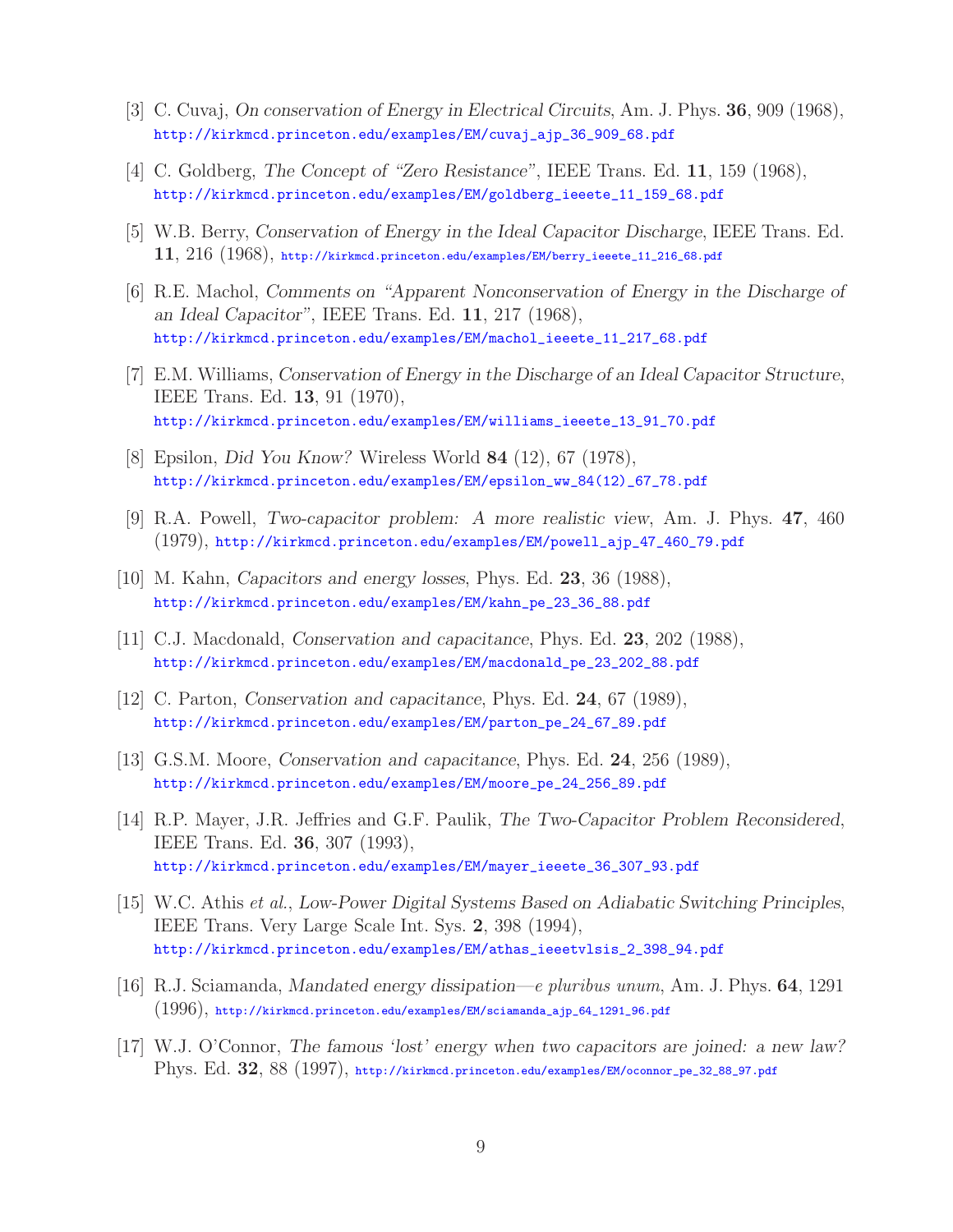- [3] C. Cuvaj, *On conservation of Energy in Electrical Circuits*, Am. J. Phys. **36**, 909 (1968), http://kirkmcd.princeton.edu/examples/EM/cuvaj\_ajp\_36\_909\_68.pdf
- [4] C. Goldberg, *The Concept of "Zero Resistance"*, IEEE Trans. Ed. **11**, 159 (1968), http://kirkmcd.princeton.edu/examples/EM/goldberg\_ieeete\_11\_159\_68.pdf
- [5] W.B. Berry, *Conservation of Energy in the Ideal Capacitor Discharge*, IEEE Trans. Ed. **11**, 216 (1968), http://kirkmcd.princeton.edu/examples/EM/berry\_ieeete\_11\_216\_68.pdf
- [6] R.E. Machol, *Comments on "Apparent Nonconservation of Energy in the Discharge of an Ideal Capacitor"*, IEEE Trans. Ed. **11**, 217 (1968), http://kirkmcd.princeton.edu/examples/EM/machol\_ieeete\_11\_217\_68.pdf
- [7] E.M. Williams, *Conservation of Energy in the Discharge of an Ideal Capacitor Structure*, IEEE Trans. Ed. **13**, 91 (1970), http://kirkmcd.princeton.edu/examples/EM/williams\_ieeete\_13\_91\_70.pdf
- [8] Epsilon, *Did You Know?* Wireless World **84** (12), 67 (1978), http://kirkmcd.princeton.edu/examples/EM/epsilon\_ww\_84(12)\_67\_78.pdf
- [9] R.A. Powell, *Two-capacitor problem: A more realistic view*, Am. J. Phys. **47**, 460 (1979), http://kirkmcd.princeton.edu/examples/EM/powell\_ajp\_47\_460\_79.pdf
- [10] M. Kahn, *Capacitors and energy losses*, Phys. Ed. **23**, 36 (1988), http://kirkmcd.princeton.edu/examples/EM/kahn\_pe\_23\_36\_88.pdf
- [11] C.J. Macdonald, *Conservation and capacitance*, Phys. Ed. **23**, 202 (1988), http://kirkmcd.princeton.edu/examples/EM/macdonald\_pe\_23\_202\_88.pdf
- [12] C. Parton, *Conservation and capacitance*, Phys. Ed. **24**, 67 (1989), http://kirkmcd.princeton.edu/examples/EM/parton\_pe\_24\_67\_89.pdf
- [13] G.S.M. Moore, *Conservation and capacitance*, Phys. Ed. **24**, 256 (1989), http://kirkmcd.princeton.edu/examples/EM/moore\_pe\_24\_256\_89.pdf
- [14] R.P. Mayer, J.R. Jeffries and G.F. Paulik, *The Two-Capacitor Problem Reconsidered*, IEEE Trans. Ed. **36**, 307 (1993), http://kirkmcd.princeton.edu/examples/EM/mayer\_ieeete\_36\_307\_93.pdf
- [15] W.C. Athis *et al.*, *Low-Power Digital Systems Based on Adiabatic Switching Principles*, IEEE Trans. Very Large Scale Int. Sys. **2**, 398 (1994), http://kirkmcd.princeton.edu/examples/EM/athas\_ieeetvlsis\_2\_398\_94.pdf
- [16] R.J. Sciamanda, *Mandated energy dissipation—e pluribus unum*, Am. J. Phys. **64**, 1291 (1996), http://kirkmcd.princeton.edu/examples/EM/sciamanda\_ajp\_64\_1291\_96.pdf
- [17] W.J. O'Connor, *The famous 'lost' energy when two capacitors are joined: a new law?* Phys. Ed. **32**, 88 (1997), http://kirkmcd.princeton.edu/examples/EM/oconnor\_pe\_32\_88\_97.pdf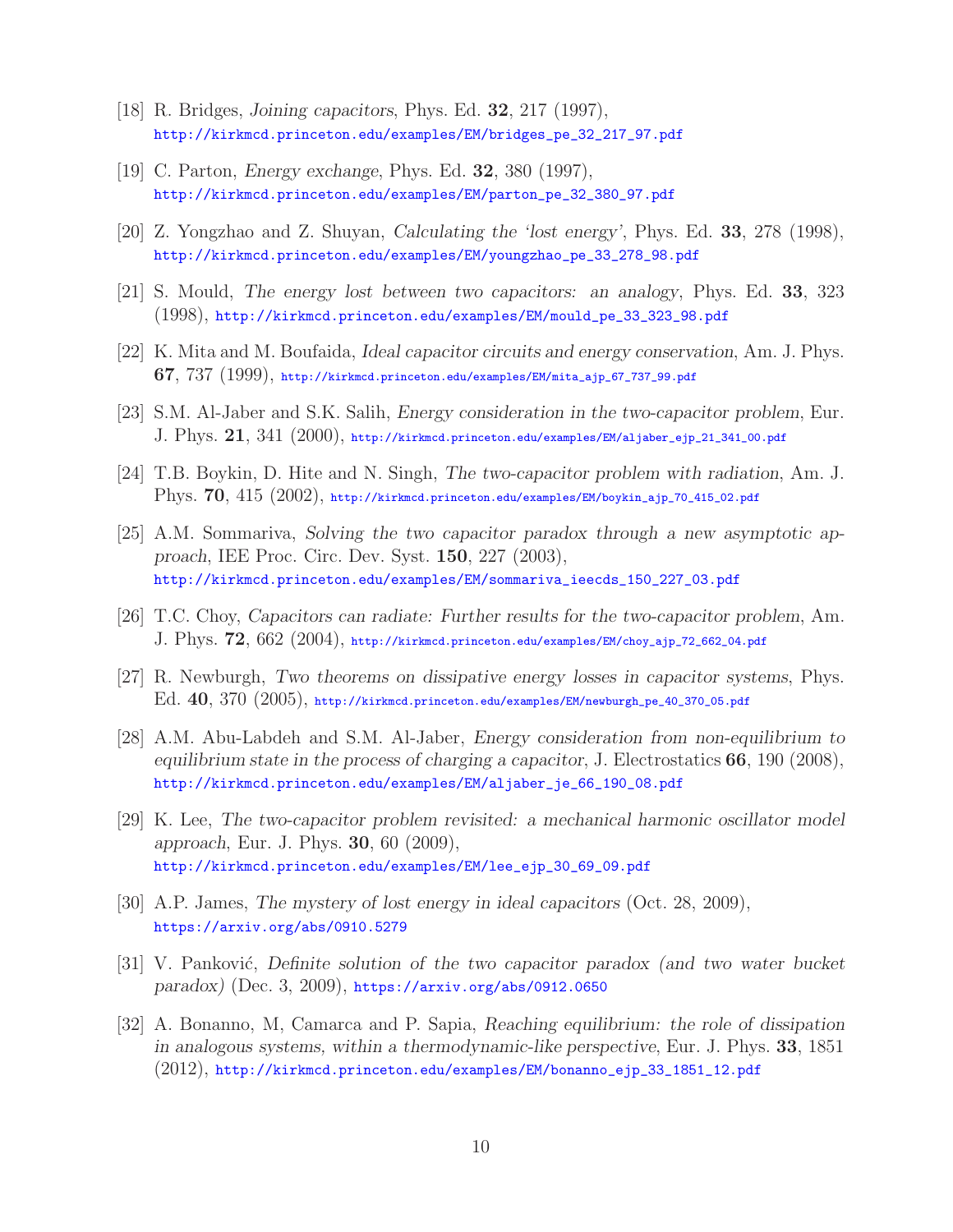- [18] R. Bridges, *Joining capacitors*, Phys. Ed. **32**, 217 (1997), http://kirkmcd.princeton.edu/examples/EM/bridges\_pe\_32\_217\_97.pdf
- [19] C. Parton, *Energy exchange*, Phys. Ed. **32**, 380 (1997), http://kirkmcd.princeton.edu/examples/EM/parton\_pe\_32\_380\_97.pdf
- [20] Z. Yongzhao and Z. Shuyan, *Calculating the 'lost energy'*, Phys. Ed. **33**, 278 (1998), http://kirkmcd.princeton.edu/examples/EM/youngzhao\_pe\_33\_278\_98.pdf
- [21] S. Mould, *The energy lost between two capacitors: an analogy*, Phys. Ed. **33**, 323 (1998), http://kirkmcd.princeton.edu/examples/EM/mould\_pe\_33\_323\_98.pdf
- [22] K. Mita and M. Boufaida, *Ideal capacitor circuits and energy conservation*, Am. J. Phys. **67**, 737 (1999), http://kirkmcd.princeton.edu/examples/EM/mita\_ajp\_67\_737\_99.pdf
- [23] S.M. Al-Jaber and S.K. Salih, *Energy consideration in the two-capacitor problem*, Eur. J. Phys. **21**, 341 (2000), http://kirkmcd.princeton.edu/examples/EM/aljaber\_ejp\_21\_341\_00.pdf
- [24] T.B. Boykin, D. Hite and N. Singh, *The two-capacitor problem with radiation*, Am. J. Phys. **70**, 415 (2002), http://kirkmcd.princeton.edu/examples/EM/boykin\_ajp\_70\_415\_02.pdf
- [25] A.M. Sommariva, *Solving the two capacitor paradox through a new asymptotic approach*, IEE Proc. Circ. Dev. Syst. **150**, 227 (2003), http://kirkmcd.princeton.edu/examples/EM/sommariva\_ieecds\_150\_227\_03.pdf
- [26] T.C. Choy, *Capacitors can radiate: Further results for the two-capacitor problem*, Am. J. Phys. **72**, 662 (2004), http://kirkmcd.princeton.edu/examples/EM/choy\_ajp\_72\_662\_04.pdf
- [27] R. Newburgh, *Two theorems on dissipative energy losses in capacitor systems*, Phys. Ed. **40**, 370 (2005), http://kirkmcd.princeton.edu/examples/EM/newburgh\_pe\_40\_370\_05.pdf
- [28] A.M. Abu-Labdeh and S.M. Al-Jaber, *Energy consideration from non-equilibrium to equilibrium state in the process of charging a capacitor*, J. Electrostatics **66**, 190 (2008), http://kirkmcd.princeton.edu/examples/EM/aljaber\_je\_66\_190\_08.pdf
- [29] K. Lee, *The two-capacitor problem revisited: a mechanical harmonic oscillator model approach*, Eur. J. Phys. **30**, 60 (2009), http://kirkmcd.princeton.edu/examples/EM/lee\_ejp\_30\_69\_09.pdf
- [30] A.P. James, *The mystery of lost energy in ideal capacitors* (Oct. 28, 2009), https://arxiv.org/abs/0910.5279
- [31] V. Panković, *Definite solution of the two capacitor paradox (and two water bucket paradox)* (Dec. 3, 2009), https://arxiv.org/abs/0912.0650
- [32] A. Bonanno, M, Camarca and P. Sapia, *Reaching equilibrium: the role of dissipation in analogous systems, within a thermodynamic-like perspective*, Eur. J. Phys. **33**, 1851 (2012), http://kirkmcd.princeton.edu/examples/EM/bonanno\_ejp\_33\_1851\_12.pdf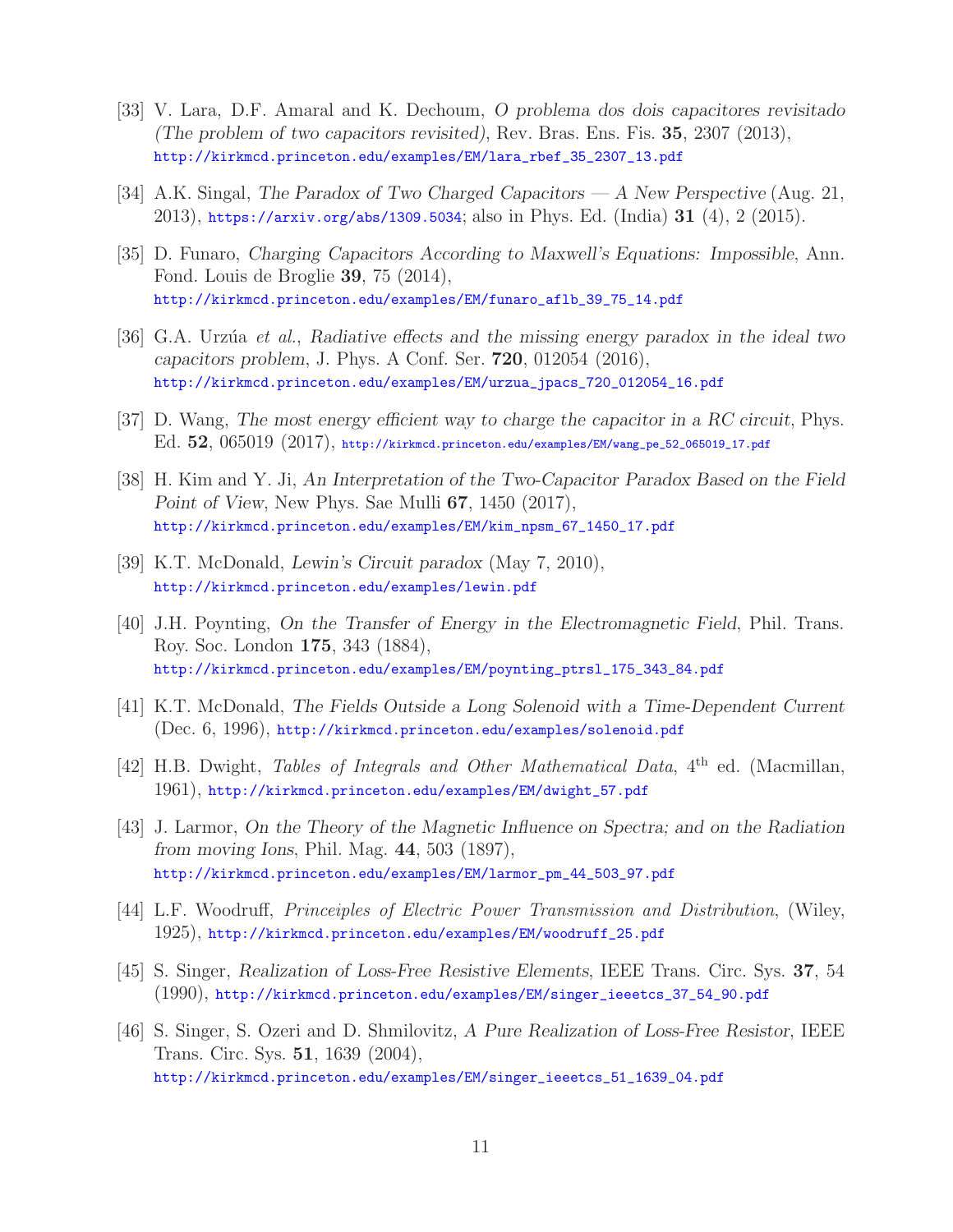- [33] V. Lara, D.F. Amaral and K. Dechoum, *O problema dos dois capacitores revisitado (The problem of two capacitors revisited)*, Rev. Bras. Ens. Fis. **35**, 2307 (2013), http://kirkmcd.princeton.edu/examples/EM/lara\_rbef\_35\_2307\_13.pdf
- [34] A.K. Singal, *The Paradox of Two Charged Capacitors A New Perspective* (Aug. 21, 2013), https://arxiv.org/abs/1309.5034; also in Phys. Ed. (India) **31** (4), 2 (2015).
- [35] D. Funaro, *Charging Capacitors According to Maxwell's Equations: Impossible*, Ann. Fond. Louis de Broglie **39**, 75 (2014), http://kirkmcd.princeton.edu/examples/EM/funaro\_aflb\_39\_75\_14.pdf
- [36] G.A. Urz´ua *et al.*, *Radiative effects and the missing energy paradox in the ideal two capacitors problem*, J. Phys. A Conf. Ser. **720**, 012054 (2016), http://kirkmcd.princeton.edu/examples/EM/urzua\_jpacs\_720\_012054\_16.pdf
- [37] D. Wang, *The most energy efficient way to charge the capacitor in a RC circuit*, Phys. Ed. **52**, 065019 (2017), http://kirkmcd.princeton.edu/examples/EM/wang\_pe\_52\_065019\_17.pdf
- [38] H. Kim and Y. Ji, *An Interpretation of the Two-Capacitor Paradox Based on the Field Point of View*, New Phys. Sae Mulli **67**, 1450 (2017), http://kirkmcd.princeton.edu/examples/EM/kim\_npsm\_67\_1450\_17.pdf
- [39] K.T. McDonald, *Lewin's Circuit paradox* (May 7, 2010), http://kirkmcd.princeton.edu/examples/lewin.pdf
- [40] J.H. Poynting, *On the Transfer of Energy in the Electromagnetic Field*, Phil. Trans. Roy. Soc. London **175**, 343 (1884), http://kirkmcd.princeton.edu/examples/EM/poynting\_ptrsl\_175\_343\_84.pdf
- [41] K.T. McDonald, *The Fields Outside a Long Solenoid with a Time-Dependent Current* (Dec. 6, 1996), http://kirkmcd.princeton.edu/examples/solenoid.pdf
- [42] H.B. Dwight, *Tables of Integrals and Other Mathematical Data*, 4th ed. (Macmillan, 1961), http://kirkmcd.princeton.edu/examples/EM/dwight\_57.pdf
- [43] J. Larmor, *On the Theory of the Magnetic Influence on Spectra; and on the Radiation from moving Ions*, Phil. Mag. **44**, 503 (1897), http://kirkmcd.princeton.edu/examples/EM/larmor\_pm\_44\_503\_97.pdf
- [44] L.F. Woodruff, *Princeiples of Electric Power Transmission and Distribution*, (Wiley, 1925), http://kirkmcd.princeton.edu/examples/EM/woodruff\_25.pdf
- [45] S. Singer, *Realization of Loss-Free Resistive Elements*, IEEE Trans. Circ. Sys. **37**, 54 (1990), http://kirkmcd.princeton.edu/examples/EM/singer\_ieeetcs\_37\_54\_90.pdf
- [46] S. Singer, S. Ozeri and D. Shmilovitz, *A Pure Realization of Loss-Free Resistor*, IEEE Trans. Circ. Sys. **51**, 1639 (2004), http://kirkmcd.princeton.edu/examples/EM/singer\_ieeetcs\_51\_1639\_04.pdf